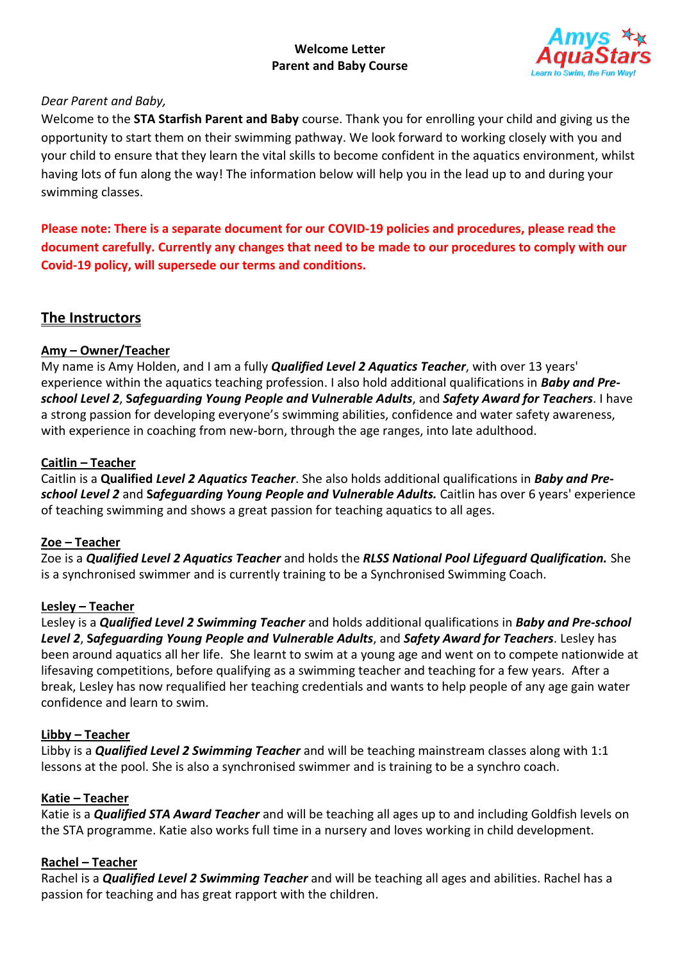### **Welcome Letter Parent and Baby Course**



### *Dear Parent and Baby,*

Welcome to the **STA Starfish Parent and Baby** course. Thank you for enrolling your child and giving us the opportunity to start them on their swimming pathway. We look forward to working closely with you and your child to ensure that they learn the vital skills to become confident in the aquatics environment, whilst having lots of fun along the way! The information below will help you in the lead up to and during your swimming classes.

**Please note: There is a separate document for our COVID-19 policies and procedures, please read the document carefully. Currently any changes that need to be made to our procedures to comply with our Covid-19 policy, will supersede our terms and conditions.**

# **The Instructors**

### **Amy – Owner/Teacher**

My name is Amy Holden, and I am a fully *Qualified Level 2 Aquatics Teacher*, with over 13 years' experience within the aquatics teaching profession. I also hold additional qualifications in *Baby and Preschool Level 2*, **S***afeguarding Young People and Vulnerable Adults*, and *Safety Award for Teachers*. I have a strong passion for developing everyone's swimming abilities, confidence and water safety awareness, with experience in coaching from new-born, through the age ranges, into late adulthood.

### **Caitlin – Teacher**

Caitlin is a **Qualified** *Level 2 Aquatics Teacher*. She also holds additional qualifications in *Baby and Preschool Level 2* and **S***afeguarding Young People and Vulnerable Adults.* Caitlin has over 6 years' experience of teaching swimming and shows a great passion for teaching aquatics to all ages.

### **Zoe – Teacher**

Zoe is a *Qualified Level 2 Aquatics Teacher* and holds the *RLSS National Pool Lifeguard Qualification.* She is a synchronised swimmer and is currently training to be a Synchronised Swimming Coach.

### **Lesley – Teacher**

Lesley is a *Qualified Level 2 Swimming Teacher* and holds additional qualifications in *Baby and Pre-school Level 2*, **S***afeguarding Young People and Vulnerable Adults*, and *Safety Award for Teachers*. Lesley has been around aquatics all her life. She learnt to swim at a young age and went on to compete nationwide at lifesaving competitions, before qualifying as a swimming teacher and teaching for a few years. After a break, Lesley has now requalified her teaching credentials and wants to help people of any age gain water confidence and learn to swim.

### **Libby – Teacher**

Libby is a *Qualified Level 2 Swimming Teacher* and will be teaching mainstream classes along with 1:1 lessons at the pool. She is also a synchronised swimmer and is training to be a synchro coach.

### **Katie – Teacher**

Katie is a *Qualified STA Award Teacher* and will be teaching all ages up to and including Goldfish levels on the STA programme. Katie also works full time in a nursery and loves working in child development.

### **Rachel – Teacher**

Rachel is a *Qualified Level 2 Swimming Teacher* and will be teaching all ages and abilities. Rachel has a passion for teaching and has great rapport with the children.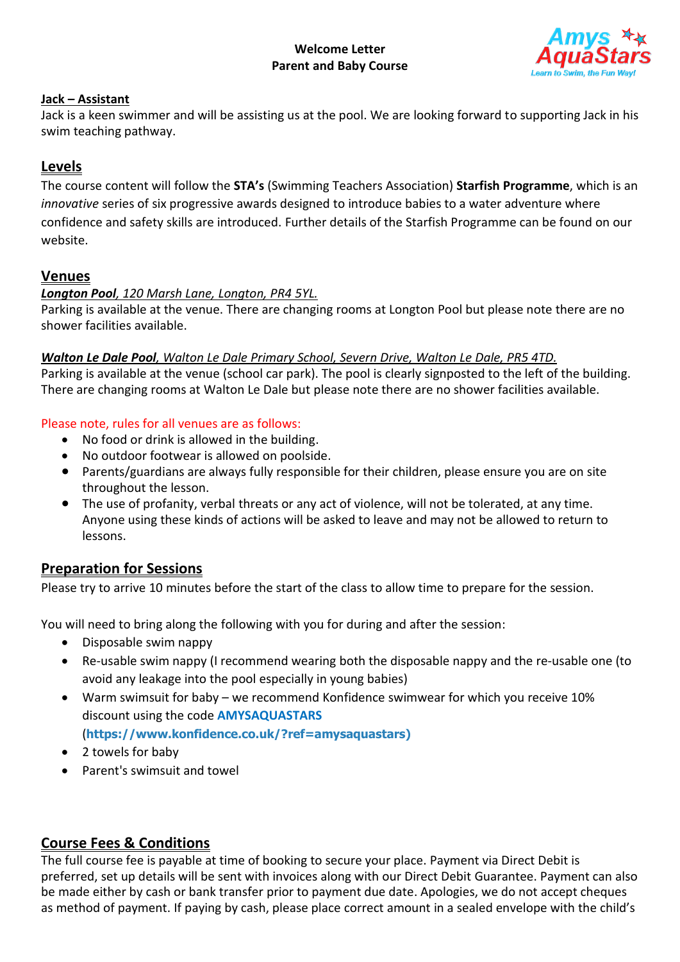

### **Jack – Assistant**

Jack is a keen swimmer and will be assisting us at the pool. We are looking forward to supporting Jack in his swim teaching pathway.

# **Levels**

The course content will follow the **STA's** (Swimming Teachers Association) **Starfish Programme**, which is an *innovative* series of six progressive awards designed to introduce babies to a water adventure where confidence and safety skills are introduced. Further details of the Starfish Programme can be found on our website.

# **Venues**

### *Longton Pool, 120 Marsh Lane, Longton, PR4 5YL.*

Parking is available at the venue. There are changing rooms at Longton Pool but please note there are no shower facilities available.

### *Walton Le Dale Pool, Walton Le Dale Primary School, Severn Drive, Walton Le Dale, PR5 4TD.*

Parking is available at the venue (school car park). The pool is clearly signposted to the left of the building. There are changing rooms at Walton Le Dale but please note there are no shower facilities available.

### Please note, rules for all venues are as follows:

- No food or drink is allowed in the building.
- No outdoor footwear is allowed on poolside.
- Parents/guardians are always fully responsible for their children, please ensure you are on site throughout the lesson.
- The use of profanity, verbal threats or any act of violence, will not be tolerated, at any time. Anyone using these kinds of actions will be asked to leave and may not be allowed to return to lessons.

### **Preparation for Sessions**

Please try to arrive 10 minutes before the start of the class to allow time to prepare for the session.

You will need to bring along the following with you for during and after the session:

- Disposable swim nappy
- Re-usable swim nappy (I recommend wearing both the disposable nappy and the re-usable one (to avoid any leakage into the pool especially in young babies)
- Warm swimsuit for baby we recommend Konfidence swimwear for which you receive 10% discount using the code **AMYSAQUASTARS** (**https://www.konfidence.co.uk/?ref=amysaquastars)**
- 2 towels for baby
- Parent's swimsuit and towel

### **Course Fees & Conditions**

The full course fee is payable at time of booking to secure your place. Payment via Direct Debit is preferred, set up details will be sent with invoices along with our Direct Debit Guarantee. Payment can also be made either by cash or bank transfer prior to payment due date. Apologies, we do not accept cheques as method of payment. If paying by cash, please place correct amount in a sealed envelope with the child's